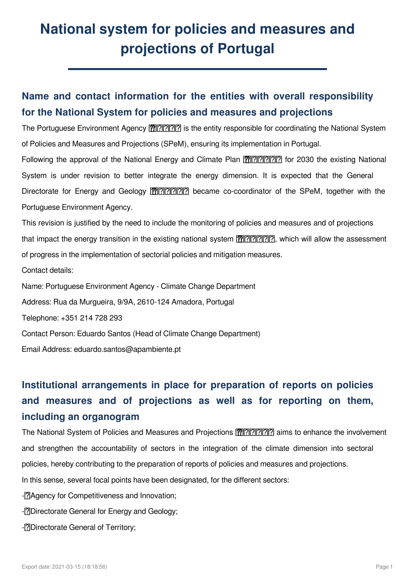# **National system for policies and measures and projections of Portugal**

### **Name and contact information for the entities with overall responsibility for the National System for policies and measures and projections**

The Portuguese Environment Agency <a>[<a>[0]</a> is the entity responsible for coordinating the National System of Policies and Measures and Projections (SPeM), ensuring its implementation in Portugal. Following the approval of the National Energy and Climate Plan **᠓**. [<mark>낍</mark>. [<mark>ʔ</mark>] for 2030 the existing National System is under revision to better integrate the energy dimension. It is expected that the General Directorate for Energy and Geology <a>[<a>[0]</a> became co-coordinator of the SPeM, together with the Portuguese Environment Agency.

This revision is justified by the need to include the monitoring of policies and measures and of projections that impact the energy transition in the existing national system **े** *[*ʔo] . which will allow the assessment of progress in the implementation of sectorial policies and mitigation measures.

Contact details:

Name: Portuguese Environment Agency - Climate Change Department

Address: Rua da Murgueira, 9/9A, 2610-124 Amadora, Portugal

Telephone: +351 214 728 293

Contact Person: Eduardo Santos (Head of Climate Change Department)

Email Address: eduardo.santos@apambiente.pt

# **Institutional arrangements in place for preparation of reports on policies and measures and of projections as well as for reporting on them, including an organogram**

The National System of Policies and Measures and Projections <sup>?</sup> [12] The National aims to enhance the involvement and strengthen the accountability of sectors in the integration of the climate dimension into sectoral policies, hereby contributing to the preparation of reports of policies and measures and projections. In this sense, several focal points have been designated, for the different sectors: -<sup>[?]</sup>Agency for Competitiveness and Innovation; -<sup>[?]</sup>Directorate General for Energy and Geology; -**[?]Directorate General of Territory**;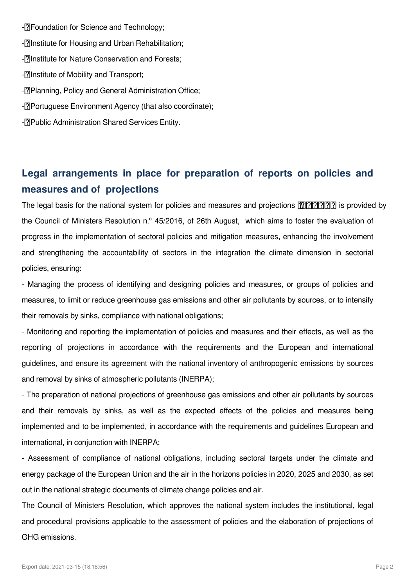-**PR**oundation for Science and Technology: -<sup>[7]</sup> Institute for Housing and Urban Rehabilitation; -**Plinstitute for Nature Conservation and Forests:** -**[?]Institute of Mobility and Transport**; -<sup>[?]</sup>Planning, Policy and General Administration Office; -<sup>[2]</sup>Portuguese Environment Agency (that also coordinate); -<sup>[7]</sup>Public Administration Shared Services Entity.

## **Legal arrangements in place for preparation of reports on policies and measures and of projections**

The legal basis for the national system for policies and measures and projections \⠀匀倀攀䴀尩 is provided by the Council of Ministers Resolution n.º 45/2016, of 26th August, which aims to foster the evaluation of progress in the implementation of sectoral policies and mitigation measures, enhancing the involvement and strengthening the accountability of sectors in the integration the climate dimension in sectorial policies, ensuring:

- Managing the process of identifying and designing policies and measures, or groups of policies and measures, to limit or reduce greenhouse gas emissions and other air pollutants by sources, or to intensify their removals by sinks, compliance with national obligations;

- Monitoring and reporting the implementation of policies and measures and their effects, as well as the reporting of projections in accordance with the requirements and the European and international guidelines, and ensure its agreement with the national inventory of anthropogenic emissions by sources and removal by sinks of atmospheric pollutants (INERPA);

- The preparation of national projections of greenhouse gas emissions and other air pollutants by sources and their removals by sinks, as well as the expected effects of the policies and measures being implemented and to be implemented, in accordance with the requirements and guidelines European and international, in conjunction with INERPA;

- Assessment of compliance of national obligations, including sectoral targets under the climate and energy package of the European Union and the air in the horizons policies in 2020, 2025 and 2030, as set out in the national strategic documents of climate change policies and air.

The Council of Ministers Resolution, which approves the national system includes the institutional, legal and procedural provisions applicable to the assessment of policies and the elaboration of projections of GHG emissions.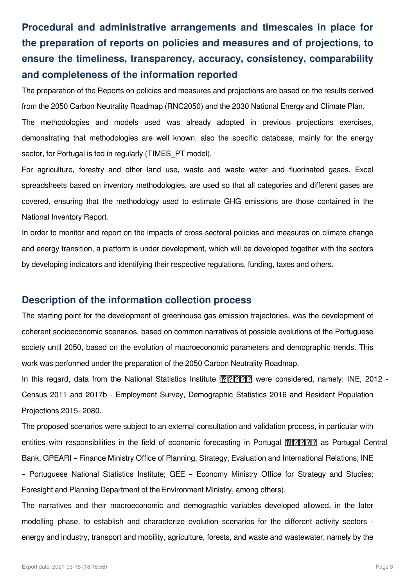# **Procedural and administrative arrangements and timescales in place for the preparation of reports on policies and measures and of projections, to ensure the timeliness, transparency, accuracy, consistency, comparability and completeness of the information reported**

The preparation of the Reports on policies and measures and projections are based on the results derived from the 2050 Carbon Neutrality Roadmap (RNC2050) and the 2030 National Energy and Climate Plan.

The methodologies and models used was already adopted in previous projections exercises, demonstrating that methodologies are well known, also the specific database, mainly for the energy sector, for Portugal is fed in regularly (TIMES PT model).

For agriculture, forestry and other land use, waste and waste water and fluorinated gases, Excel spreadsheets based on inventory methodologies, are used so that all categories and different gases are covered, ensuring that the methodology used to estimate GHG emissions are those contained in the National Inventory Report.

In order to monitor and report on the impacts of cross-sectoral policies and measures on climate change and energy transition, a platform is under development, which will be developed together with the sectors by developing indicators and identifying their respective regulations, funding, taxes and others.

#### **Description of the information collection process**

The starting point for the development of greenhouse gas emission trajectories, was the development of coherent socioeconomic scenarios, based on common narratives of possible evolutions of the Portuguese society until 2050, based on the evolution of macroeconomic parameters and demographic trends. This work was performed under the preparation of the 2050 Carbon Neutrality Roadmap.

In this regard, data from the National Statistics Institute [...] were considered, namely: INE, 2012 -Census 2011 and 2017b - Employment Survey, Demographic Statistics 2016 and Resident Population Projections 2015- 2080.

The proposed scenarios were subject to an external consultation and validation process, in particular with entities with responsibilities in the field of economic forecasting in Portugal [ $\mathcal{W}$ ||?||?||?||?||?|| as Portugal Central Bank, GPEARI – Finance Ministry Office of Planning, Strategy, Evaluation and International Relations; INE – Portuguese National Statistics Institute; GEE – Economy Ministry Office for Strategy and Studies; Foresight and Planning Department of the Environment Ministry, among others).

The narratives and their macroeconomic and demographic variables developed allowed, in the later modelling phase, to establish and characterize evolution scenarios for the different activity sectors energy and industry, transport and mobility, agriculture, forests, and waste and wastewater, namely by the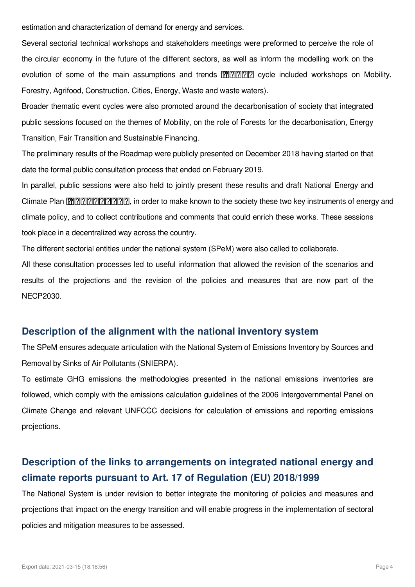estimation and characterization of demand for energy and services.

Several sectorial technical workshops and stakeholders meetings were preformed to perceive the role of the circular economy in the future of the different sectors, as well as inform the modelling work on the evolution of some of the main assumptions and trends  $\[\mathbb{R}\]\[\mathbb{R}\]$ ? cycle included workshops on Mobility, Forestry, Agrifood, Construction, Cities, Energy, Waste and waste waters).

Broader thematic event cycles were also promoted around the decarbonisation of society that integrated public sessions focused on the themes of Mobility, on the role of Forests for the decarbonisation, Energy Transition, Fair Transition and Sustainable Financing.

The preliminary results of the Roadmap were publicly presented on December 2018 having started on that date the formal public consultation process that ended on February 2019.

In parallel, public sessions were also held to jointly present these results and draft National Energy and Climate Plan \⠀倀一䔀䌀㈀ ㌀ 尩, in order to make known to the society these two key instruments of energy and climate policy, and to collect contributions and comments that could enrich these works. These sessions took place in a decentralized way across the country.

The different sectorial entities under the national system (SPeM) were also called to collaborate.

All these consultation processes led to useful information that allowed the revision of the scenarios and results of the projections and the revision of the policies and measures that are now part of the NECP2030.

#### **Description of the alignment with the national inventory system**

The SPeM ensures adequate articulation with the National System of Emissions Inventory by Sources and Removal by Sinks of Air Pollutants (SNIERPA).

To estimate GHG emissions the methodologies presented in the national emissions inventories are followed, which comply with the emissions calculation guidelines of the 2006 Intergovernmental Panel on Climate Change and relevant UNFCCC decisions for calculation of emissions and reporting emissions projections.

#### **Description of the links to arrangements on integrated national energy and climate reports pursuant to Art. 17 of Regulation (EU) 2018/1999**

The National System is under revision to better integrate the monitoring of policies and measures and projections that impact on the energy transition and will enable progress in the implementation of sectoral policies and mitigation measures to be assessed.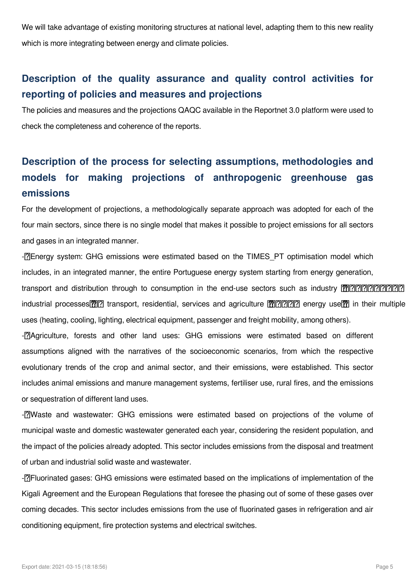We will take advantage of existing monitoring structures at national level, adapting them to this new reality which is more integrating between energy and climate policies.

### **Description of the quality assurance and quality control activities for reporting of policies and measures and projections**

The policies and measures and the projections QAQC available in the Reportnet 3.0 platform were used to check the completeness and coherence of the reports.

# **Description of the process for selecting assumptions, methodologies and models for making projections of anthropogenic greenhouse gas emissions**

For the development of projections, a methodologically separate approach was adopted for each of the four main sectors, since there is no single model that makes it possible to project emissions for all sectors and gases in an integrated manner.

-<sup>[</sup>?] Energy system: GHG emissions were estimated based on the TIMES PT optimisation model which includes, in an integrated manner, the entire Portuguese energy system starting from energy generation,

transport and distribution through to consumption in the end-use sectors such as industry \⠀椀渀挀氀甀搀椀渀最 industrial processes $\mathbb{R}$  transport, residential, services and agriculture  $\mathbb{R}$  ? energy use $\mathbb{R}$  in their multiple uses (heating, cooling, lighting, electrical equipment, passenger and freight mobility, among others).

-<sup>[2]</sup>Agriculture, forests and other land uses: GHG emissions were estimated based on different assumptions aligned with the narratives of the socioeconomic scenarios, from which the respective evolutionary trends of the crop and animal sector, and their emissions, were established. This sector includes animal emissions and manure management systems, fertiliser use, rural fires, and the emissions or sequestration of different land uses.

-<sup>[7]</sup>Waste and wastewater: GHG emissions were estimated based on projections of the volume of municipal waste and domestic wastewater generated each year, considering the resident population, and the impact of the policies already adopted. This sector includes emissions from the disposal and treatment of urban and industrial solid waste and wastewater.

-<sup>[7]</sup> Fluorinated gases: GHG emissions were estimated based on the implications of implementation of the Kigali Agreement and the European Regulations that foresee the phasing out of some of these gases over coming decades. This sector includes emissions from the use of fluorinated gases in refrigeration and air conditioning equipment, fire protection systems and electrical switches.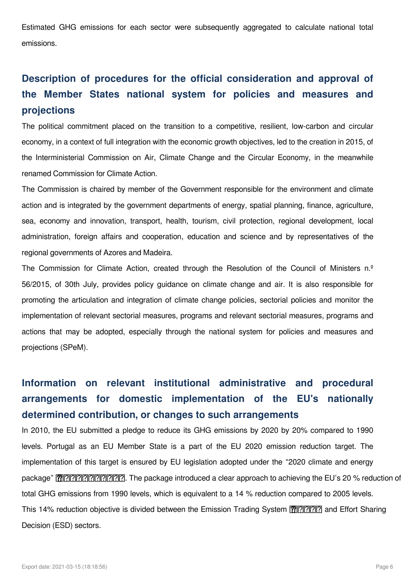Estimated GHG emissions for each sector were subsequently aggregated to calculate national total emissions.

## **Description of procedures for the official consideration and approval of the Member States national system for policies and measures and projections**

The political commitment placed on the transition to a competitive, resilient, low-carbon and circular economy, in a context of full integration with the economic growth objectives, led to the creation in 2015, of the Interministerial Commission on Air, Climate Change and the Circular Economy, in the meanwhile renamed Commission for Climate Action.

The Commission is chaired by member of the Government responsible for the environment and climate action and is integrated by the government departments of energy, spatial planning, finance, agriculture, sea, economy and innovation, transport, health, tourism, civil protection, regional development, local administration, foreign affairs and cooperation, education and science and by representatives of the regional governments of Azores and Madeira.

The Commission for Climate Action, created through the Resolution of the Council of Ministers n.º 56/2015, of 30th July, provides policy guidance on climate change and air. It is also responsible for promoting the articulation and integration of climate change policies, sectorial policies and monitor the implementation of relevant sectorial measures, programs and relevant sectorial measures, programs and actions that may be adopted, especially through the national system for policies and measures and projections (SPeM).

# **Information on relevant institutional administrative and procedural arrangements for domestic implementation of the EU's nationally determined contribution, or changes to such arrangements**

In 2010, the EU submitted a pledge to reduce its GHG emissions by 2020 by 20% compared to 1990 levels. Portugal as an EU Member State is a part of the EU 2020 emission reduction target. The implementation of this target is ensured by EU legislation adopted under the "2020 climate and energy package" \⠀㈀ ㌀ⴀ㈀ ㈀ 尩. The package introduced a clear approach to achieving the EU's 20 % reduction of total GHG emissions from 1990 levels, which is equivalent to a 14 % reduction compared to 2005 levels. This 14% reduction objective is divided between the Emission Trading System [p. ? ? ] and Effort Sharing Decision (ESD) sectors.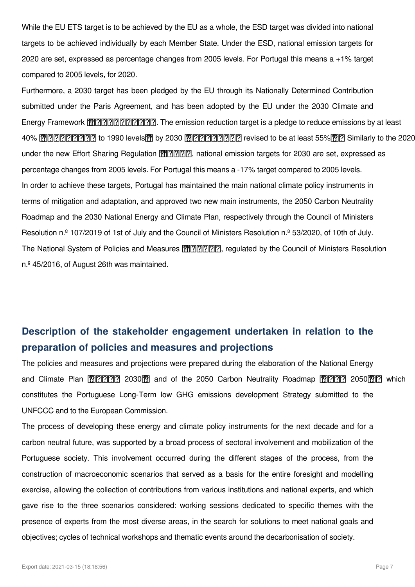While the EU ETS target is to be achieved by the EU as a whole, the ESD target was divided into national targets to be achieved individually by each Member State. Under the ESD, national emission targets for 2020 are set, expressed as percentage changes from 2005 levels. For Portugal this means a +1% target compared to 2005 levels, for 2020.

Furthermore, a 2030 target has been pledged by the EU through its Nationally Determined Contribution submitted under the Paris Agreement, and has been adopted by the EU under the 2030 Climate and Energy Framework \⠀㈀ ㈀ⴀ㈀ ㌀ 尩. The emission reduction target is a pledge to reduce emissions by at least 40% \⠀挀漀洀瀀愀爀攀搀 to 1990 levels\⤀ by 2030 \⠀爀攀挀攀渀琀氀礀 revised to be at least 55%\⤀⸀ Similarly to the 2020 target, under the new Effort Sharing Regulation <a>[
T</a>]</a> national emission targets for 2030 are set, expressed as percentage changes from 2005 levels. For Portugal this means a -17% target compared to 2005 levels. In order to achieve these targets, Portugal has maintained the main national climate policy instruments in terms of mitigation and adaptation, and approved two new main instruments, the 2050 Carbon Neutrality Roadmap and the 2030 National Energy and Climate Plan, respectively through the Council of Ministers Resolution n.<sup>o</sup> 107/2019 of 1st of July and the Council of Ministers Resolution n.<sup>o</sup> 53/2020, of 10th of July. The National System of Policies and Measures <a>[**?]</a>** <a>[<a>[3]</a> regulated by the Council of Ministers Resolution n.º 45/2016, of August 26th was maintained.

#### **Description of the stakeholder engagement undertaken in relation to the preparation of policies and measures and projections**

The policies and measures and projections were prepared during the elaboration of the National Energy and Climate Plan | . 2030 2030 2030 20 and of the 2050 Carbon Neutrality Roadmap | 门门 2050 2050 2050 20 which constitutes the Portuguese Long-Term low GHG emissions development Strategy submitted to the UNFCCC and to the European Commission.

The process of developing these energy and climate policy instruments for the next decade and for a carbon neutral future, was supported by a broad process of sectoral involvement and mobilization of the Portuguese society. This involvement occurred during the different stages of the process, from the construction of macroeconomic scenarios that served as a basis for the entire foresight and modelling exercise, allowing the collection of contributions from various institutions and national experts, and which gave rise to the three scenarios considered: working sessions dedicated to specific themes with the presence of experts from the most diverse areas, in the search for solutions to meet national goals and objectives; cycles of technical workshops and thematic events around the decarbonisation of society.